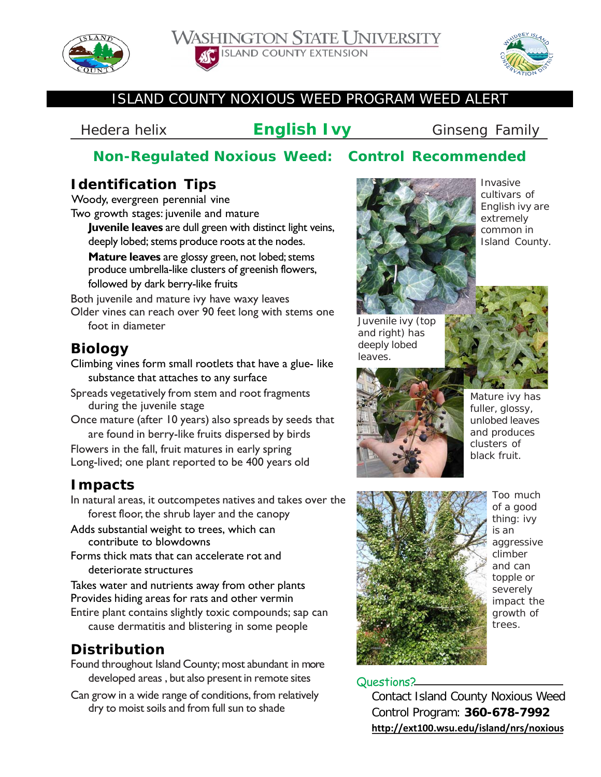

**WASHINGTON STATE UNIVERSITY ISLAND COUNTY EXTENSION** 



#### ISLAND COUNTY NOXIOUS WEED PROGRAM WEED ALERT

#### *Hedera helix* **English Ivy** Ginseng Family

## **Non-Regulated Noxious Weed: Control Recommended**

## **Identification Tips**

Woody, evergreen perennial vine

Two growth stages: juvenile and mature **Juvenile leaves** are dull green with distinct light veins,

deeply lobed; stems produce roots at the nodes.

**Mature leaves** are glossy green, not lobed; stems produce umbrella-like clusters of greenish flowers, followed by dark berry-like fruits

Both juvenile and mature ivy have waxy leaves Older vines can reach over 90 feet long with stems one foot in diameter

## **Biology**

Climbing vines form small rootlets that have a glue- like substance that attaches to any surface

- Spreads vegetatively from stem and root fragments during the juvenile stage
- Once mature (after 10 years) also spreads by seeds that are found in berry-like fruits dispersed by birds

Flowers in the fall, fruit matures in early spring Long-lived; one plant reported to be 400 years old

### **Impacts**

- In natural areas, it outcompetes natives and takes over the forest floor, the shrub layer and the canopy
- Adds substantial weight to trees, which can contribute to blowdowns

Forms thick mats that can accelerate rot and deteriorate structures

Takes water and nutrients away from other plants Provides hiding areas for rats and other vermin Entire plant contains slightly toxic compounds; sap can

cause dermatitis and blistering in some people

### **Distribution**

Found throughout Island County; most abundant in more developed areas , but also present in remote sites

Can grow in a wide range of conditions, from relatively dry to moist soils and from full sun to shade



*Invasive cultivars of English ivy are extremely common in Island County.*

*Juvenile ivy (top and right) has deeply lobed leaves.*





*Mature ivy has fuller, glossy, unlobed leaves and produces clusters of black fruit.*



*Too much of a good thing: ivy is an aggressive climber and can topple or severely impact the growth of trees.*

#### Questions?

Contact Island County Noxious Weed Control Program: **360-678-7992 http://ext100.wsu.edu/island/nrs/noxious**